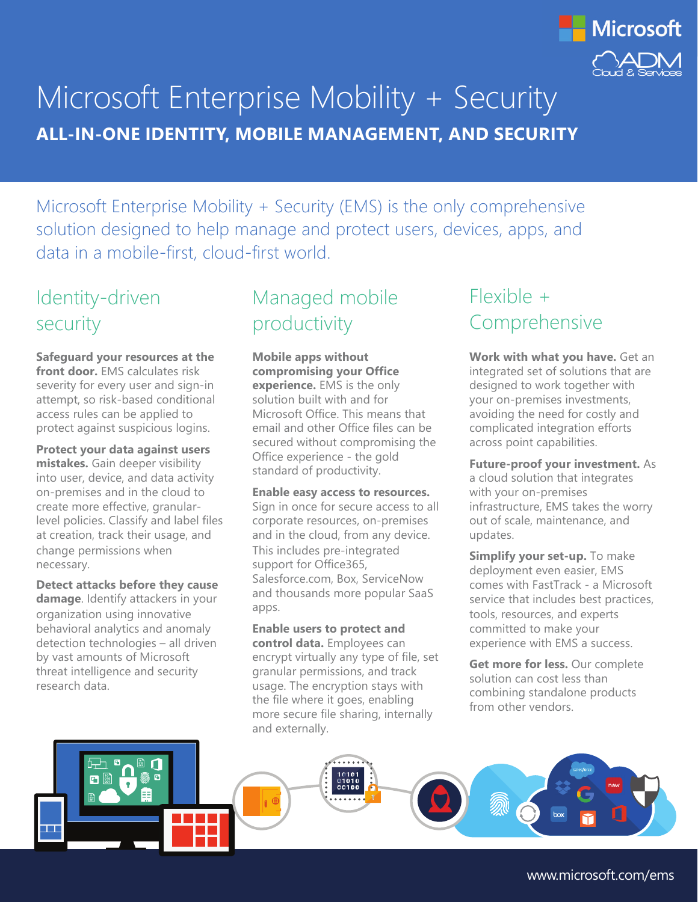

# Microsoft Enterprise Mobility + Security **ALL-IN-ONE IDENTITY, MOBILE MANAGEMENT, AND SECURITY**

Microsoft Enterprise Mobility + Security (EMS) is the only comprehensive solution designed to help manage and protect users, devices, apps, and data in a mobile-first, cloud-first world.

#### Identity-driven security

**Safeguard your resources at the front door.** EMS calculates risk severity for every user and sign-in attempt, so risk-based conditional access rules can be applied to protect against suspicious logins.

**Protect your data against users mistakes.** Gain deeper visibility into user, device, and data activity on-premises and in the cloud to create more effective, granularlevel policies. Classify and label files at creation, track their usage, and change permissions when necessary.

**Detect attacks before they cause damage**. Identify attackers in your organization using innovative behavioral analytics and anomaly detection technologies – all driven by vast amounts of Microsoft threat intelligence and security research data.

## Managed mobile productivity

**Mobile apps without compromising your Office experience.** EMS is the only solution built with and for Microsoft Office. This means that email and other Office files can be secured without compromising the Office experience - the gold standard of productivity.

**Enable easy access to resources.**  Sign in once for secure access to all corporate resources, on-premises and in the cloud, from any device. This includes pre-integrated support for Office365, Salesforce.com, Box, ServiceNow and thousands more popular SaaS apps.

**Enable users to protect and control data.** Employees can encrypt virtually any type of file, set granular permissions, and track usage. The encryption stays with the file where it goes, enabling more secure file sharing, internally and externally.

## Flexible + Comprehensive

**Work with what you have.** Get an integrated set of solutions that are designed to work together with your on-premises investments, avoiding the need for costly and complicated integration efforts across point capabilities.

**Future-proof your investment.** As a cloud solution that integrates with your on-premises infrastructure, EMS takes the worry out of scale, maintenance, and updates.

**Simplify your set-up.** To make deployment even easier, EMS comes with FastTrack - a Microsoft service that includes best practices, tools, resources, and experts committed to make your experience with EMS a success.

**Get more for less.** Our complete solution can cost less than combining standalone products from other vendors.



www.microsoft.com/ems